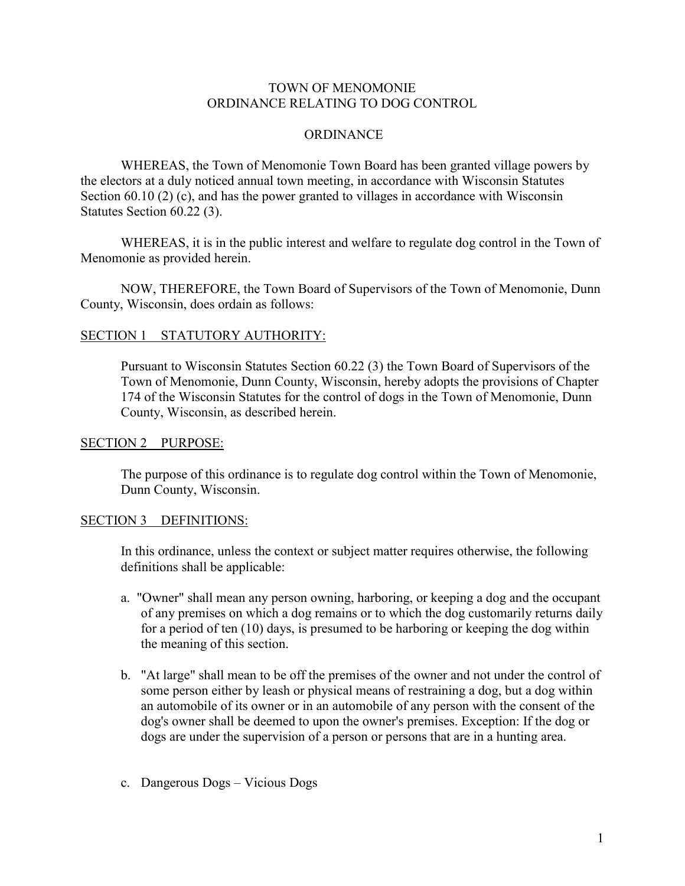### TOWN OF MENOMONIE ORDINANCE RELATING TO DOG CONTROL

### **ORDINANCE**

WHEREAS, the Town of Menomonie Town Board has been granted village powers by the electors at a duly noticed annual town meeting, in accordance with Wisconsin Statutes Section 60.10 (2) (c), and has the power granted to villages in accordance with Wisconsin Statutes Section 60.22 (3).

WHEREAS, it is in the public interest and welfare to regulate dog control in the Town of Menomonie as provided herein.

NOW, THEREFORE, the Town Board of Supervisors of the Town of Menomonie, Dunn County, Wisconsin, does ordain as follows:

#### SECTION 1 STATUTORY AUTHORITY:

Pursuant to Wisconsin Statutes Section 60.22 (3) the Town Board of Supervisors of the Town of Menomonie, Dunn County, Wisconsin, hereby adopts the provisions of Chapter 174 of the Wisconsin Statutes for the control of dogs in the Town of Menomonie, Dunn County, Wisconsin, as described herein.

#### SECTION 2 PURPOSE:

The purpose of this ordinance is to regulate dog control within the Town of Menomonie, Dunn County, Wisconsin.

#### SECTION 3 DEFINITIONS:

In this ordinance, unless the context or subject matter requires otherwise, the following definitions shall be applicable:

- a. "Owner" shall mean any person owning, harboring, or keeping a dog and the occupant of any premises on which a dog remains or to which the dog customarily returns daily for a period of ten (10) days, is presumed to be harboring or keeping the dog within the meaning of this section.
- b. "At large" shall mean to be off the premises of the owner and not under the control of some person either by leash or physical means of restraining a dog, but a dog within an automobile of its owner or in an automobile of any person with the consent of the dog's owner shall be deemed to upon the owner's premises. Exception: If the dog or dogs are under the supervision of a person or persons that are in a hunting area.
- c. Dangerous Dogs Vicious Dogs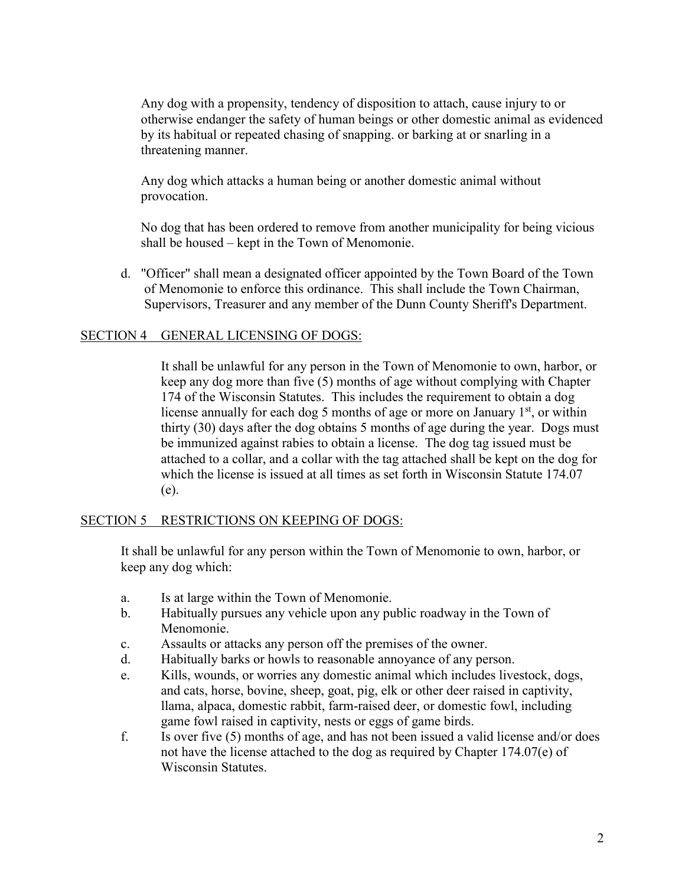Any dog with a propensity, tendency of disposition to attach, cause injury to or otherwise endanger the safety of human beings or other domestic animal as evidenced by its habitual or repeated chasing of snapping. or barking at or snarling in a threatening manner.

Any dog which attacks a human being or another domestic animal without provocation.

No dog that has been ordered to remove from another municipality for being vicious shall be housed – kept in the Town of Menomonie.

d. "Officer" shall mean a designated officer appointed by the Town Board of the Town of Menomonie to enforce this ordinance. This shall include the Town Chairman, Supervisors, Treasurer and any member of the Dunn County Sheriff's Department.

#### SECTION 4 GENERAL LICENSING OF DOGS:

It shall be unlawful for any person in the Town of Menomonie to own, harbor, or keep any dog more than five (5) months of age without complying with Chapter 174 of the Wisconsin Statutes. This includes the requirement to obtain a dog license annually for each dog 5 months of age or more on January  $1<sup>st</sup>$ , or within thirty (30) days after the dog obtains 5 months of age during the year. Dogs must be immunized against rabies to obtain a license. The dog tag issued must be attached to a collar, and a collar with the tag attached shall be kept on the dog for which the license is issued at all times as set forth in Wisconsin Statute 174.07 (e).

#### SECTION 5 RESTRICTIONS ON KEEPING OF DOGS:

It shall be unlawful for any person within the Town of Menomonie to own, harbor, or keep any dog which:

- a. Is at large within the Town of Menomonie.
- b. Habitually pursues any vehicle upon any public roadway in the Town of Menomonie.
- c. Assaults or attacks any person off the premises of the owner.
- d. Habitually barks or howls to reasonable annoyance of any person.
- e. Kills, wounds, or worries any domestic animal which includes livestock, dogs, and cats, horse, bovine, sheep, goat, pig, elk or other deer raised in captivity, llama, alpaca, domestic rabbit, farm-raised deer, or domestic fowl, including game fowl raised in captivity, nests or eggs of game birds.
- f. Is over five (5) months of age, and has not been issued a valid license and/or does not have the license attached to the dog as required by Chapter 174.07(e) of Wisconsin Statutes.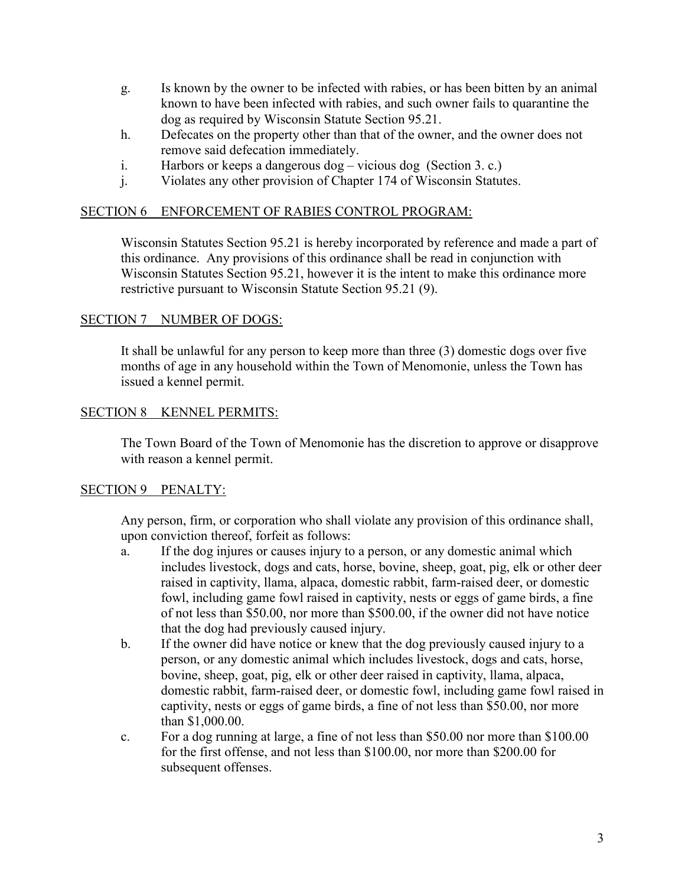- g. Is known by the owner to be infected with rabies, or has been bitten by an animal known to have been infected with rabies, and such owner fails to quarantine the dog as required by Wisconsin Statute Section 95.21.
- h. Defecates on the property other than that of the owner, and the owner does not remove said defecation immediately.
- i. Harbors or keeps a dangerous dog vicious dog (Section 3. c.)
- j. Violates any other provision of Chapter 174 of Wisconsin Statutes.

## SECTION 6 ENFORCEMENT OF RABIES CONTROL PROGRAM:

Wisconsin Statutes Section 95.21 is hereby incorporated by reference and made a part of this ordinance. Any provisions of this ordinance shall be read in conjunction with Wisconsin Statutes Section 95.21, however it is the intent to make this ordinance more restrictive pursuant to Wisconsin Statute Section 95.21 (9).

### SECTION 7 NUMBER OF DOGS:

It shall be unlawful for any person to keep more than three (3) domestic dogs over five months of age in any household within the Town of Menomonie, unless the Town has issued a kennel permit.

### SECTION 8 KENNEL PERMITS:

The Town Board of the Town of Menomonie has the discretion to approve or disapprove with reason a kennel permit.

# SECTION 9 PENALTY:

Any person, firm, or corporation who shall violate any provision of this ordinance shall, upon conviction thereof, forfeit as follows:

- a. If the dog injures or causes injury to a person, or any domestic animal which includes livestock, dogs and cats, horse, bovine, sheep, goat, pig, elk or other deer raised in captivity, llama, alpaca, domestic rabbit, farm-raised deer, or domestic fowl, including game fowl raised in captivity, nests or eggs of game birds, a fine of not less than \$50.00, nor more than \$500.00, if the owner did not have notice that the dog had previously caused injury.
- b. If the owner did have notice or knew that the dog previously caused injury to a person, or any domestic animal which includes livestock, dogs and cats, horse, bovine, sheep, goat, pig, elk or other deer raised in captivity, llama, alpaca, domestic rabbit, farm-raised deer, or domestic fowl, including game fowl raised in captivity, nests or eggs of game birds, a fine of not less than \$50.00, nor more than \$1,000.00.
- c. For a dog running at large, a fine of not less than \$50.00 nor more than \$100.00 for the first offense, and not less than \$100.00, nor more than \$200.00 for subsequent offenses.